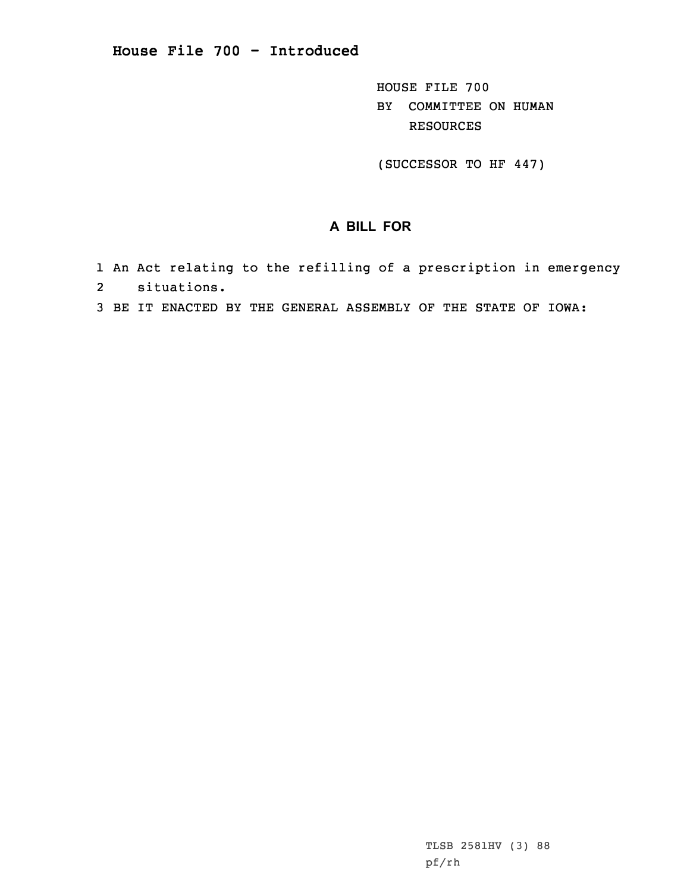## **House File 700 - Introduced**

HOUSE FILE 700 BY COMMITTEE ON HUMAN RESOURCES

(SUCCESSOR TO HF 447)

## **A BILL FOR**

- 1 An Act relating to the refilling of <sup>a</sup> prescription in emergency 2 situations.
- 3 BE IT ENACTED BY THE GENERAL ASSEMBLY OF THE STATE OF IOWA:

TLSB 2581HV (3) 88 pf/rh